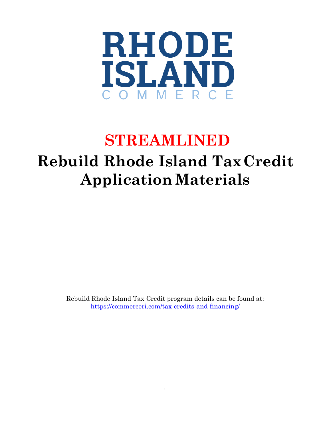

# **STREAMLINED**

# **Rebuild Rhode Island TaxCredit Application Materials**

Rebuild Rhode Island Tax Credit program details can be found at: <https://commerceri.com/tax-credits-and-financing/>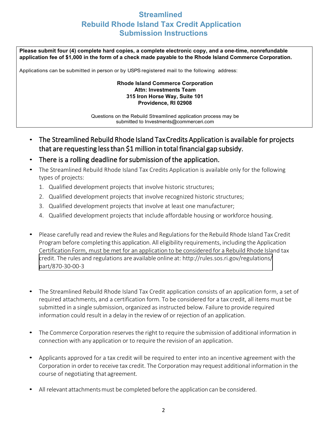### **Streamlined Rebuild Rhode Island Tax Credit Application Submission Instructions**

**Please submit four (4) complete hard copies, a complete electronic copy, and a one-time, nonrefundable application fee of \$1,000 in the form of a check made payable to the Rhode Island Commerce Corporation.** 

Applications can be submitted in person or by USPS registered mail to the following address:

#### **Rhode Island Commerce Corporation Attn: Investments Team 315 Iron Horse Way, Suite 101 Providence, RI 02908**

Questions on the Rebuild Streamlined application process may be subm[itted to Investments@commercer](mailto:Investments@commerceri.com)i.com

- The Streamlined Rebuild Rhode Island Tax Credits Application is available for projects that are requesting less than \$1 million in total financial gap subsidy.
- There is a rolling deadline for submission of the application.
- The Streamlined Rebuild Rhode Island Tax Credits Application is available only for the following types of projects:
	- 1. Qualified development projects that involve historic structures;
	- 2. Qualified development projects that involve recognized historic structures;
	- 3. Qualified development projects that involve at least one manufacturer;
	- 4. Qualified development projects that include affordable housing or workforce housing.
- Please carefully read and review the Rules and Regulationsfor the Rebuild Rhode Island Tax Credit Program before completing this application. All eligibility requirements, including the Application Certification Form, must be met for an application to be considered for a Rebuild Rhode Island tax credit. The rules and regulations are available online at: http[://rules.sos.ri.gov/regulations/](https://rules.sos.ri.gov/regulations/part/870-30-00-3) part/870-30-00-3
- The Streamlined Rebuild Rhode Island Tax Credit application consists of an application form, a set of required attachments, and a certification form. To be considered for a tax credit, all items must be submitted in a single submission, organized as instructed below. Failure to provide required information could result in a delay in the review of or rejection of an application.
- The Commerce Corporation reserves the right to require the submission of additional information in connection with any application or to require the revision of an application.
- Applicants approved for a tax credit will be required to enter into an incentive agreement with the Corporation in order to receive tax credit. The Corporation may request additional information in the course of negotiating that agreement.
- All relevant attachments must be completed before the application can be considered.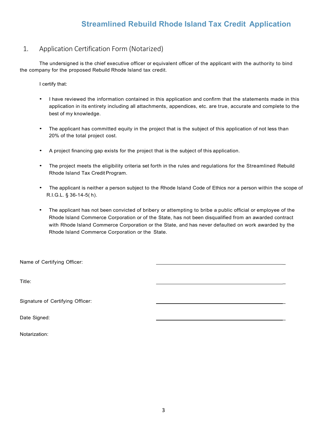### **Streamlined Rebuild Rhode Island Tax Credit Application**

#### 1. Application Certification Form (Notarized)

The undersigned is the chief executive officer or equivalent officer of the applicant with the authority to bind the company for the proposed Rebuild Rhode Island tax credit.

I certify that:

- I have reviewed the information contained in this application and confirm that the statements made in this application in its entirety including all attachments, appendices, etc. are true, accurate and complete to the best of my knowledge.
- The applicant has committed equity in the project that is the subject of this application of not less than 20% of the total project cost.
- A project financing gap exists for the project that is the subject of this application.
- The project meets the eligibility criteria set forth in the rules and regulations for the Streamlined Rebuild Rhode Island Tax Credit Program.
- The applicant is neither a person subject to the Rhode Island Code of Ethics nor a person within the scope of R.I.G.L. § 36-14-5( h).
- The applicant has not been convicted of bribery or attempting to bribe a public official or employee of the Rhode Island Commerce Corporation or of the State, has not been disqualified from an awarded contract with Rhode Island Commerce Corporation or the State, and has never defaulted on work awarded by the Rhode Island Commerce Corporation or the State.

Name of Certifying Officer:

Title: \_

Signature of Certifying Officer:

Date Signed:

Notarization: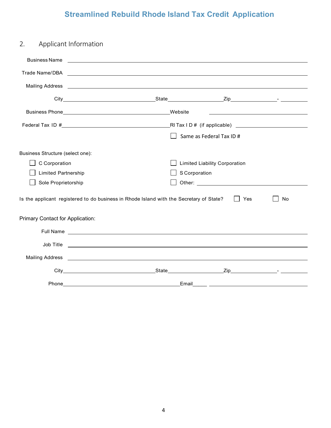## **Streamlined Rebuild Rhode Island Tax Credit Application**

| 2.                                                                                                            | Applicant Information                                                                                                                                                                                                                |                                      |  |  |
|---------------------------------------------------------------------------------------------------------------|--------------------------------------------------------------------------------------------------------------------------------------------------------------------------------------------------------------------------------------|--------------------------------------|--|--|
|                                                                                                               |                                                                                                                                                                                                                                      |                                      |  |  |
|                                                                                                               |                                                                                                                                                                                                                                      |                                      |  |  |
|                                                                                                               |                                                                                                                                                                                                                                      |                                      |  |  |
|                                                                                                               |                                                                                                                                                                                                                                      |                                      |  |  |
|                                                                                                               | Business Phone Manual Manual Medicine Medicine Medicine Medicine                                                                                                                                                                     |                                      |  |  |
|                                                                                                               |                                                                                                                                                                                                                                      |                                      |  |  |
|                                                                                                               |                                                                                                                                                                                                                                      | Same as Federal Tax ID #             |  |  |
| Business Structure (select one):                                                                              |                                                                                                                                                                                                                                      |                                      |  |  |
| C Corporation                                                                                                 |                                                                                                                                                                                                                                      | <b>Limited Liability Corporation</b> |  |  |
| <b>Limited Partnership</b>                                                                                    |                                                                                                                                                                                                                                      | S Corporation                        |  |  |
| Sole Proprietorship                                                                                           |                                                                                                                                                                                                                                      |                                      |  |  |
| Is the applicant registered to do business in Rhode Island with the Secretary of State?<br>I Yes<br><b>No</b> |                                                                                                                                                                                                                                      |                                      |  |  |
| Primary Contact for Application:                                                                              |                                                                                                                                                                                                                                      |                                      |  |  |
|                                                                                                               | Full Name and the contract of the contract of the contract of the contract of the contract of the contract of the contract of the contract of the contract of the contract of the contract of the contract of the contract of        |                                      |  |  |
|                                                                                                               |                                                                                                                                                                                                                                      | Job Title                            |  |  |
|                                                                                                               | Mailing Address <b>Contract Contract Contract Contract Contract Contract Contract Contract Contract Contract Contract Contract Contract Contract Contract Contract Contract Contract Contract Contract Contract Contract Contrac</b> |                                      |  |  |
|                                                                                                               |                                                                                                                                                                                                                                      |                                      |  |  |
|                                                                                                               |                                                                                                                                                                                                                                      |                                      |  |  |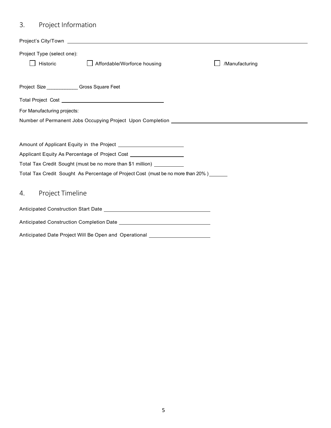## 3. Project Information

| Project Type (select one):  |                                                                                        |                |
|-----------------------------|----------------------------------------------------------------------------------------|----------------|
| Historic                    | Affordable/Worforce housing                                                            | /Manufacturing |
|                             |                                                                                        |                |
|                             | Project Size _____________Gross Square Feet                                            |                |
|                             |                                                                                        |                |
| For Manufacturing projects: |                                                                                        |                |
|                             |                                                                                        |                |
|                             |                                                                                        |                |
|                             |                                                                                        |                |
|                             | Applicant Equity As Percentage of Project Cost _________________________________       |                |
|                             | Total Tax Credit Sought (must be no more than \$1 million) __________                  |                |
|                             | Total Tax Credit Sought As Percentage of Project Cost (must be no more than 20%)______ |                |
| 4. Project Timeline         |                                                                                        |                |
|                             |                                                                                        |                |
|                             |                                                                                        |                |
|                             | Anticipated Date Project Will Be Open and Operational __________________________       |                |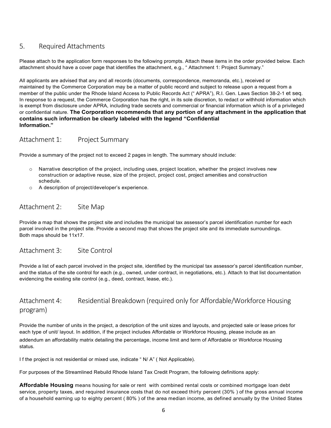#### 5. Required Attachments

Please attach to the application form responses to the following prompts. Attach these items in the order provided below. Each attachment should have a cover page that identifies the attachment, e.g., " Attachment 1: Project Summary."

All applicants are advised that any and all records (documents, correspondence, memoranda, etc.), received or maintained by the Commerce Corporation may be a matter of public record and subject to release upon a request from a member of the public under the Rhode Island Access to Public Records Act (" APRA"), R.I. Gen. Laws Section 38-2-1 et seq. In response to a request, the Commerce Corporation has the right, in its sole discretion, to redact or withhold information which is exempt from disclosure under APRA, including trade secrets and commercial or financial information which is of a privileged or confidential nature. **The Corporation recommends that any portion of any attachment in the application that contains such information be clearly labeled with the legend "Confidential Information."**

#### Attachment 1: Project Summary

Provide a summary of the project not to exceed 2 pages in length. The summary should include:

- o Narrative description of the project, including uses, project location, whether the project involves new construction or adaptive reuse, size of the project, project cost, project amenities and construction schedule.
- o A description of project/developer's experience.

#### Attachment 2: Site Map

Provide a map that shows the project site and includes the municipal tax assessor's parcel identification number for each parcel involved in the project site. Provide a second map that shows the project site and its immediate surroundings. Both maps should be 11x17.

#### Attachment 3: Site Control

Provide a list of each parcel involved in the project site, identified by the municipal tax assessor's parcel identification number, and the status of the site control for each (e.g., owned, under contract, in negotiations, etc.). Attach to that list documentation evidencing the existing site control (e.g., deed, contract, lease, etc.).

#### Attachment 4: Residential Breakdown (required only for Affordable/Workforce Housing program)

Provide the number of units in the project, a description of the unit sizes and layouts, and projected sale or lease prices for each type of unit/ layout. In addition, if the project includes Affordable or Workforce Housing, please include as an addendum an affordability matrix detailing the percentage, income limit and term of Affordable or Workforce Housing status.

I f the project is not residential or mixed use, indicate " N/ A" ( Not Applicable).

For purposes of the Streamlined Rebuild Rhode Island Tax Credit Program, the following definitions apply:

**Affordable Housing** means housing for sale or rent with combined rental costs or combined mortgage loan debt service, property taxes, and required insurance costs that do not exceed thirty percent (30% ) of the gross annual income of a household earning up to eighty percent ( 80% ) of the area median income, as defined annually by the United States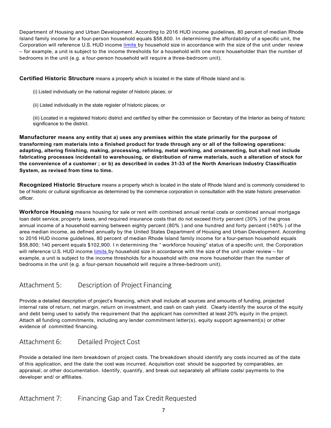Department of Housing and Urban Development. According to 2016 HUD income guidelines, 80 percent of median Rhode Island family income for a four-person household equals \$58,800. In determining the affordability of a specific unit, the Corporation will reference U.S. HUD income [limits b](https://www.huduser.gov/portal/datasets/il/il16/Section8-IncomeLimits-FY16.pdf)y household size in accordance with the size of the unit under review – for example, a unit is subject to the income thresholds for a household with one more householder than the number of bedrooms in the unit (e.g. a four-person household will require a three-bedroom unit).

**Certified Historic Structure** means a property which is located in the state of Rhode Island and is:

- (i) Listed individually on the national register of historic places; or
- (ii) Listed individually in the state register of historic places; or

(iii) Located in a registered historic district and certified by either the commission or Secretary of the Interior as being of historic significance to the district.

**Manufacturer means any entity that a) uses any premises within the state primarily for the purpose of transforming ram materials into a finished product for trade through any or all of the following operations: adapting, altering finishing, making, processing, refining, metal working, and ornamenting, but shall not include fabricating processes incidentail to warehousing, or distribution of ramw materials, such a alteration of stock for the convenience of a customer ; or b) as described in codes 31-33 of the North American Industry Classificatin System, as revised from time to time.** 

**Recognized Historic Structure** means a property which is located in the state of Rhode Island and is commonly considered to be of historic or cultural significance as determined by the commerce corporation in consultation with the state historic preservation officer.

**Workforce Housing** means housing for sale or rent with combined annual rental costs or combined annual mortgage loan debt service, property taxes, and required insurance costs that do not exceed thirty percent (30% ) of the gross annual income of a household earning between eighty percent (80% ) and one hundred and forty percent (140% ) of the area median income, as defined annually by the United States Department of Housing and Urban Development. According to 2016 HUD income guidelines, 80 percent of median Rhode Island family income for a four-person household equals \$58,800; 140 percent equals \$102,900. I n determining the " workforce housing" status of a specific unit, the Corporation will reference U.S. HUD income [limits b](https://www.huduser.gov/portal/datasets/il/il16/Section8-IncomeLimits-FY16.pdf)y household size in accordance with the size of the unit under review – for example, a unit is subject to the income thresholds for a household with one more householder than the number of bedrooms in the unit (e.g. a four-person household will require a three-bedroom unit).

#### Attachment 5: Description of Project Financing

Provide a detailed description of project's financing, which shall include all sources and amounts of funding, projected internal rate of return, net margin, return on investment, and cash on cash yield. Clearly identify the source of the equity and debt being used to satisfy the requirement that the applicant has committed at least 20% equity in the project. Attach all funding commitments, including any lender commitment letter(s), equity support agreement(s) or other evidence of committed financing.

#### Attachment 6: Detailed Project Cost

Provide a detailed line item breakdown of project costs. The breakdown should identify any costs incurred as of the date of this application, and the date the cost was incurred. Acquisition cost should be supported by comparables, an appraisal, or other documentation. Identify, quantify, and break out separately all affiliate costs/ payments to the developer and/ or affiliates.

#### Attachment 7: Financing Gap and Tax Credit Requested